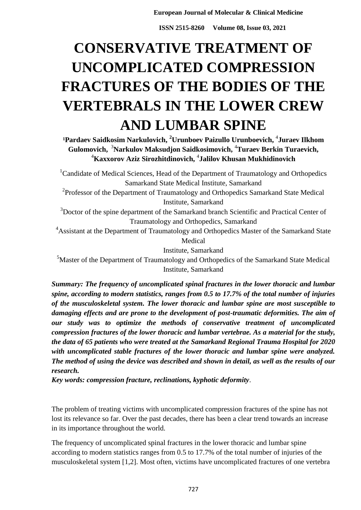**ISSN 2515-8260 Volume 08, Issue 03, 2021**

# **CONSERVATIVE TREATMENT OF UNCOMPLICATED COMPRESSION FRACTURES OF THE BODIES OF THE VERTEBRALS IN THE LOWER CREW AND LUMBAR SPINE**

**¹Pardaev Saidkosim Narkulovich, <sup>2</sup>Urunboev Paizullo Urunboevich,** <sup>4</sup> **Juraev Ilkhom Gulomovich,** <sup>3</sup>**Narkulov Maksudjon Saidkosimovich,** <sup>4</sup>**Turaev Berkin Turaevich,**  <sup>4</sup>**Kaxxorov Aziz Sirozhitdinovich,** <sup>4</sup> **Jalilov Khusan Mukhidinovich**

<sup>1</sup>Candidate of Medical Sciences, Head of the Department of Traumatology and Orthopedics Samarkand State Medical Institute, Samarkand

<sup>2</sup>Professor of the Department of Traumatology and Orthopedics Samarkand State Medical Institute, Samarkand

<sup>3</sup>Doctor of the spine department of the Samarkand branch Scientific and Practical Center of Traumatology and Orthopedics, Samarkand

<sup>4</sup> Assistant at the Department of Traumatology and Orthopedics Master of the Samarkand State Medical

Institute, Samarkand

<sup>5</sup>Master of the Department of Traumatology and Orthopedics of the Samarkand State Medical Institute, Samarkand

*Summаrу: The frequency of uncomplicated spinal fractures in the lower thoracic and lumbar spine, according to modern statistics, ranges from 0.5 to 17.7% of the total number of injuries of the musculoskeletal system. The lower thoracic and lumbar spine are most susceptible to damaging effects and are prone to the development of post-traumatic deformities. The aim of our study was to optimize the methods of conservative treatment of uncomplicated compression fractures of the lower thoracic and lumbar vertebrae. As a material for the study, the data of 65 patients who were treated at the Samarkand Regional Trauma Hospital for 2020 with uncomplicated stable fractures of the lower thoracic and lumbar spine were analyzed. The method of using the device was described and shown in detail, as well as the results of our research.*

*Key words: compression fracture, reclinations, kyphotic deformity*.

The problem of treating victims with uncomplicated compression fractures of the spine has not lost its relevance so far. Over the past decades, there has been a clear trend towards an increase in its importance throughout the world.

The frequency of uncomplicated spinal fractures in the lower thoracic and lumbar spine according to modern statistics ranges from 0.5 to 17.7% of the total number of injuries of the musculoskeletal system [1,2]. Most often, victims have uncomplicated fractures of one vertebra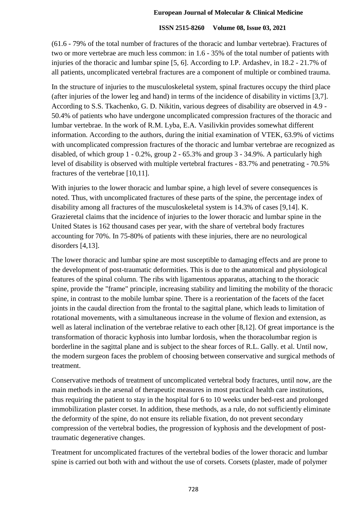#### **ISSN 2515-8260 Volume 08, Issue 03, 2021**

(61.6 - 79% of the total number of fractures of the thoracic and lumbar vertebrae). Fractures of two or more vertebrae are much less common: in 1.6 - 35% of the total number of patients with injuries of the thoracic and lumbar spine [5, 6]. According to I.P. Ardashev, in 18.2 - 21.7% of all patients, uncomplicated vertebral fractures are a component of multiple or combined trauma.

In the structure of injuries to the musculoskeletal system, spinal fractures occupy the third place (after injuries of the lower leg and hand) in terms of the incidence of disability in victims [3,7]. According to S.S. Tkachenko, G. D. Nikitin, various degrees of disability are observed in 4.9 - 50.4% of patients who have undergone uncomplicated compression fractures of the thoracic and lumbar vertebrae. In the work of R.M. Lyba, E.A. Vasilivkin provides somewhat different information. According to the authors, during the initial examination of VTEK, 63.9% of victims with uncomplicated compression fractures of the thoracic and lumbar vertebrae are recognized as disabled, of which group 1 - 0.2%, group 2 - 65.3% and group 3 - 34.9%. A particularly high level of disability is observed with multiple vertebral fractures - 83.7% and penetrating - 70.5% fractures of the vertebrae [10,11].

With injuries to the lower thoracic and lumbar spine, a high level of severe consequences is noted. Thus, with uncomplicated fractures of these parts of the spine, the percentage index of disability among all fractures of the musculoskeletal system is 14.3% of cases [9,14]. K. Grazieretal claims that the incidence of injuries to the lower thoracic and lumbar spine in the United States is 162 thousand cases per year, with the share of vertebral body fractures accounting for 70%. In 75-80% of patients with these injuries, there are no neurological disorders [4,13].

The lower thoracic and lumbar spine are most susceptible to damaging effects and are prone to the development of post-traumatic deformities. This is due to the anatomical and physiological features of the spinal column. The ribs with ligamentous apparatus, attaching to the thoracic spine, provide the "frame" principle, increasing stability and limiting the mobility of the thoracic spine, in contrast to the mobile lumbar spine. There is a reorientation of the facets of the facet joints in the caudal direction from the frontal to the sagittal plane, which leads to limitation of rotational movements, with a simultaneous increase in the volume of flexion and extension, as well as lateral inclination of the vertebrae relative to each other [8,12]. Of great importance is the transformation of thoracic kyphosis into lumbar lordosis, when the thoracolumbar region is borderline in the sagittal plane and is subject to the shear forces of R.L. Gally. et al. Until now, the modern surgeon faces the problem of choosing between conservative and surgical methods of treatment.

Conservative methods of treatment of uncomplicated vertebral body fractures, until now, are the main methods in the arsenal of therapeutic measures in most practical health care institutions, thus requiring the patient to stay in the hospital for 6 to 10 weeks under bed-rest and prolonged immobilization plaster corset. In addition, these methods, as a rule, do not sufficiently eliminate the deformity of the spine, do not ensure its reliable fixation, do not prevent secondary compression of the vertebral bodies, the progression of kyphosis and the development of posttraumatic degenerative changes.

Treatment for uncomplicated fractures of the vertebral bodies of the lower thoracic and lumbar spine is carried out both with and without the use of corsets. Corsets (plaster, made of polymer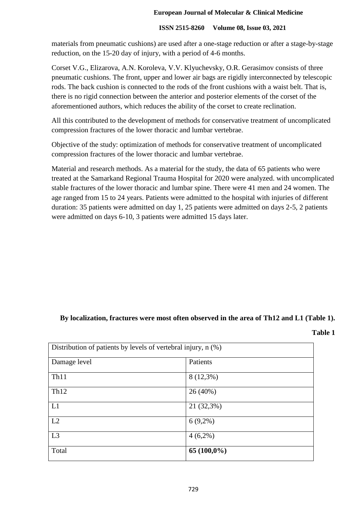## **ISSN 2515-8260 Volume 08, Issue 03, 2021**

materials from pneumatic cushions) are used after a one-stage reduction or after a stage-by-stage reduction, on the 15-20 day of injury, with a period of 4-6 months.

Corset V.G., Elizarova, A.N. Koroleva, V.V. Klyuchevsky, O.R. Gerasimov consists of three pneumatic cushions. The front, upper and lower air bags are rigidly interconnected by telescopic rods. The back cushion is connected to the rods of the front cushions with a waist belt. That is, there is no rigid connection between the anterior and posterior elements of the corset of the aforementioned authors, which reduces the ability of the corset to create reclination.

All this contributed to the development of methods for conservative treatment of uncomplicated compression fractures of the lower thoracic and lumbar vertebrae.

Objective of the study: optimization of methods for conservative treatment of uncomplicated compression fractures of the lower thoracic and lumbar vertebrae.

Material and research methods. As a material for the study, the data of 65 patients who were treated at the Samarkand Regional Trauma Hospital for 2020 were analyzed. with uncomplicated stable fractures of the lower thoracic and lumbar spine. There were 41 men and 24 women. The age ranged from 15 to 24 years. Patients were admitted to the hospital with injuries of different duration: 35 patients were admitted on day 1, 25 patients were admitted on days 2-5, 2 patients were admitted on days 6-10, 3 patients were admitted 15 days later.

## **By localization, fractures were most often observed in the area of Th12 and L1 (Table 1).**

**Table 1**

| Distribution of patients by levels of vertebral injury, n (%) |               |
|---------------------------------------------------------------|---------------|
| Damage level                                                  | Patients      |
| Th <sub>11</sub>                                              | $8(12,3\%)$   |
| Th12                                                          | 26 (40%)      |
| L1                                                            | 21 (32,3%)    |
| L2                                                            | $6(9,2\%)$    |
| L3                                                            | $4(6,2\%)$    |
| Total                                                         | $65(100,0\%)$ |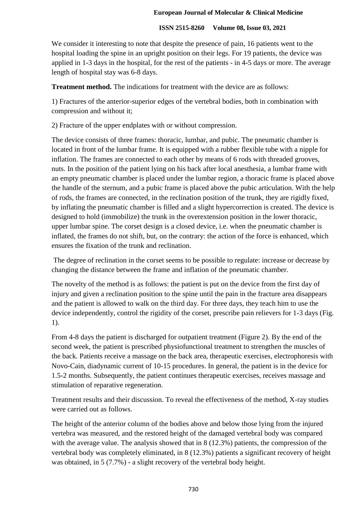## **ISSN 2515-8260 Volume 08, Issue 03, 2021**

We consider it interesting to note that despite the presence of pain, 16 patients went to the hospital loading the spine in an upright position on their legs. For 19 patients, the device was applied in 1-3 days in the hospital, for the rest of the patients - in 4-5 days or more. The average length of hospital stay was 6-8 days.

**Treatment method.** The indications for treatment with the device are as follows:

1) Fractures of the anterior-superior edges of the vertebral bodies, both in combination with compression and without it;

2) Fracture of the upper endplates with or without compression.

The device consists of three frames: thoracic, lumbar, and pubic. The pneumatic chamber is located in front of the lumbar frame. It is equipped with a rubber flexible tube with a nipple for inflation. The frames are connected to each other by means of 6 rods with threaded grooves, nuts. In the position of the patient lying on his back after local anesthesia, a lumbar frame with an empty pneumatic chamber is placed under the lumbar region, a thoracic frame is placed above the handle of the sternum, and a pubic frame is placed above the pubic articulation. With the help of rods, the frames are connected, in the reclination position of the trunk, they are rigidly fixed, by inflating the pneumatic chamber is filled and a slight hypercorrection is created. The device is designed to hold (immobilize) the trunk in the overextension position in the lower thoracic, upper lumbar spine. The corset design is a closed device, i.e. when the pneumatic chamber is inflated, the frames do not shift, but, on the contrary: the action of the force is enhanced, which ensures the fixation of the trunk and reclination.

The degree of reclination in the corset seems to be possible to regulate: increase or decrease by changing the distance between the frame and inflation of the pneumatic chamber.

The novelty of the method is as follows: the patient is put on the device from the first day of injury and given a reclination position to the spine until the pain in the fracture area disappears and the patient is allowed to walk on the third day. For three days, they teach him to use the device independently, control the rigidity of the corset, prescribe pain relievers for 1-3 days (Fig. 1).

From 4-8 days the patient is discharged for outpatient treatment (Figure 2). By the end of the second week, the patient is prescribed physiofunctional treatment to strengthen the muscles of the back. Patients receive a massage on the back area, therapeutic exercises, electrophoresis with Novo-Cain, diadynamic current of 10-15 procedures. In general, the patient is in the device for 1.5-2 months. Subsequently, the patient continues therapeutic exercises, receives massage and stimulation of reparative regeneration.

Treatment results and their discussion. To reveal the effectiveness of the method, X-ray studies were carried out as follows.

The height of the anterior column of the bodies above and below those lying from the injured vertebra was measured, and the restored height of the damaged vertebral body was compared with the average value. The analysis showed that in 8 (12.3%) patients, the compression of the vertebral body was completely eliminated, in 8 (12.3%) patients a significant recovery of height was obtained, in 5 (7.7%) - a slight recovery of the vertebral body height.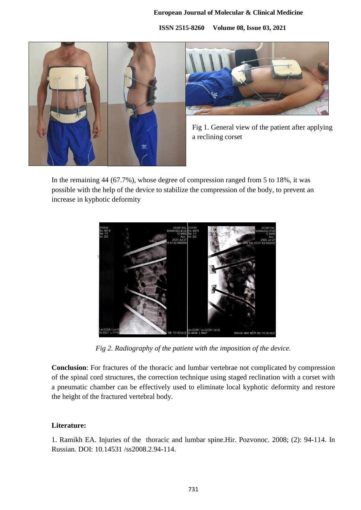**ISSN 2515-8260 Volume 08, Issue 03, 2021**





Fig 1. General view of the patient after applying a reclining corset

In the remaining 44 (67.7%), whose degree of compression ranged from 5 to 18%, it was possible with the help of the device to stabilize the compression of the body, to prevent an increase in kyphotic deformity



*Fig 2. Radiography of the patient with the imposition of the device.*

**Conclusion**: For fractures of the thoracic and lumbar vertebrae not complicated by compression of the spinal cord structures, the correction technique using staged reclination with a corset with a pneumatic chamber can be effectively used to eliminate local kyphotic deformity and restore the height of the fractured vertebral body.

## **Literature:**

1. Ramikh EA. Injuries of the thoracic and lumbar spine.Hir. Pozvonoc. 2008; (2): 94-114. In Russian. DOI: 10.14531 /ss2008.2.94-114.